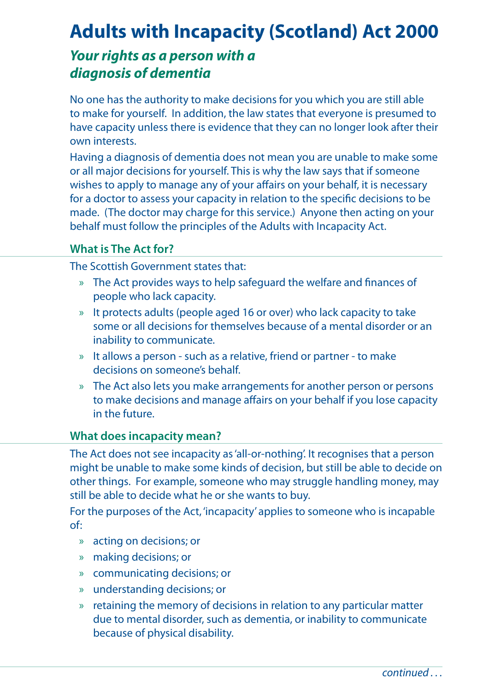# **Adults with Incapacity (Scotland) Act 2000**

# *Your rights as a person with a diagnosis of dementia*

No one has the authority to make decisions for you which you are still able to make for yourself. In addition, the law states that everyone is presumed to have capacity unless there is evidence that they can no longer look after their own interests.

Having a diagnosis of dementia does not mean you are unable to make some or all major decisions for yourself. This is why the law says that if someone wishes to apply to manage any of your affairs on your behalf, it is necessary for a doctor to assess your capacity in relation to the specific decisions to be made. (The doctor may charge for this service.) Anyone then acting on your behalf must follow the principles of the Adults with Incapacity Act.

#### **What is The Act for?**

The Scottish Government states that:

- » The Act provides ways to help safeguard the welfare and finances of people who lack capacity.
- » It protects adults (people aged 16 or over) who lack capacity to take some or all decisions for themselves because of a mental disorder or an inability to communicate.
- » It allows a person such as a relative, friend or partner to make decisions on someone's behalf.
- » The Act also lets you make arrangements for another person or persons to make decisions and manage affairs on your behalf if you lose capacity in the future.

#### **What does incapacity mean?**

The Act does not see incapacity as 'all-or-nothing'. It recognises that a person might be unable to make some kinds of decision, but still be able to decide on other things. For example, someone who may struggle handling money, may still be able to decide what he or she wants to buy.

For the purposes of the Act, 'incapacity' applies to someone who is incapable of:

- » acting on decisions; or
- » making decisions; or
- » communicating decisions; or
- » understanding decisions; or
- » retaining the memory of decisions in relation to any particular matter due to mental disorder, such as dementia, or inability to communicate because of physical disability.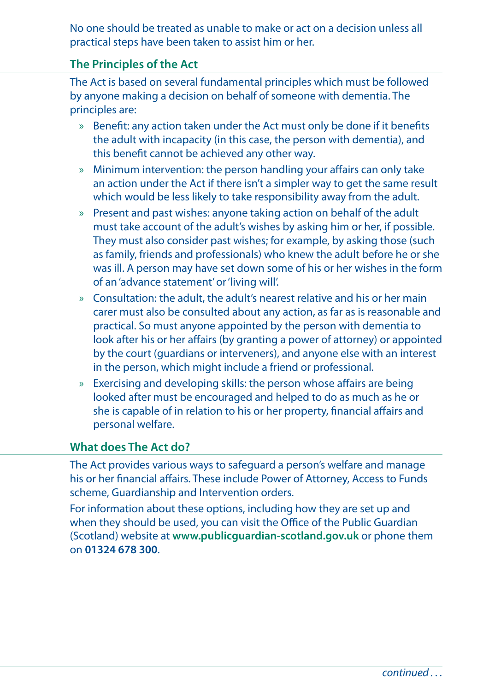No one should be treated as unable to make or act on a decision unless all practical steps have been taken to assist him or her.

## **The Principles of the Act**

The Act is based on several fundamental principles which must be followed by anyone making a decision on behalf of someone with dementia. The principles are:

- » Benefit: any action taken under the Act must only be done if it benefits the adult with incapacity (in this case, the person with dementia), and this benefit cannot be achieved any other way.
- » Minimum intervention: the person handling your affairs can only take an action under the Act if there isn't a simpler way to get the same result which would be less likely to take responsibility away from the adult.
- » Present and past wishes: anyone taking action on behalf of the adult must take account of the adult's wishes by asking him or her, if possible. They must also consider past wishes; for example, by asking those (such as family, friends and professionals) who knew the adult before he or she was ill. A person may have set down some of his or her wishes in the form of an 'advance statement' or 'living will'.
- » Consultation: the adult, the adult's nearest relative and his or her main carer must also be consulted about any action, as far as is reasonable and practical. So must anyone appointed by the person with dementia to look after his or her affairs (by granting a power of attorney) or appointed by the court (guardians or interveners), and anyone else with an interest in the person, which might include a friend or professional.
- » Exercising and developing skills: the person whose affairs are being looked after must be encouraged and helped to do as much as he or she is capable of in relation to his or her property, financial affairs and personal welfare.

### **What does The Act do?**

The Act provides various ways to safeguard a person's welfare and manage his or her financial affairs. These include Power of Attorney, Access to Funds scheme, Guardianship and Intervention orders.

For information about these options, including how they are set up and when they should be used, you can visit the Office of the Public Guardian (Scotland) website at **www.publicguardian-scotland.gov.uk** or phone them on **01324 678 300**.